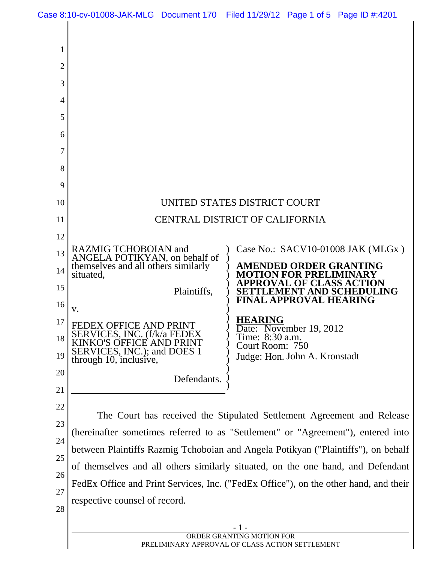Case 8:10-cv-01008-JAK-MLG Document 170 Filed 11/29/12 Page 1 of 5 Page ID #:4201

 $\overline{1}$ 

| 1              |                                                                                                                                        |
|----------------|----------------------------------------------------------------------------------------------------------------------------------------|
| $\overline{2}$ |                                                                                                                                        |
| 3              |                                                                                                                                        |
| 4              |                                                                                                                                        |
| 5              |                                                                                                                                        |
| 6              |                                                                                                                                        |
| 7              |                                                                                                                                        |
| 8              |                                                                                                                                        |
| 9              |                                                                                                                                        |
| 10             | UNITED STATES DISTRICT COURT                                                                                                           |
| 11             | <b>CENTRAL DISTRICT OF CALIFORNIA</b>                                                                                                  |
| 12             |                                                                                                                                        |
| 13             | RAZMIG TCHOBOIAN and<br>Case No.: SACV10-01008 JAK (MLGx)<br>ANGELA POTIKYAN, on behalf of                                             |
| 14             | themselves and all others similarly<br>AMENDED ORDER GRANTING<br><b>MOTION FOR PRELIMINARY</b><br>situated,<br>PPROVAL OF CLASS ACTION |
| 15             | LEMENT AND SCHEDUI<br>Plaintiffs,<br>LING<br><b>FINAL APPROVAL HEARING</b>                                                             |
| 16             | V.                                                                                                                                     |
| 17             | <b>HEARING</b><br><b>FEDEX OFFICE AND PRINT</b><br>Date: November 19, 2012<br>SERVICES, INC. (f/k/a FEDEX                              |
| 18             | Time: 8:30 a.m.<br>KINKO'S OFFICE AND PRINT<br>Court Room: 750<br>SERVICES, INC.); and DOES 1                                          |
| 19             | Judge: Hon. John A. Kronstadt<br>through 10, inclusive,                                                                                |
| 20             | Defendants.                                                                                                                            |
| 21             |                                                                                                                                        |
| 22             | The Court has received the Stipulated Settlement Agreement and Release                                                                 |
| 23             | (hereinafter sometimes referred to as "Settlement" or "Agreement"), entered into                                                       |
| 24<br>25       | between Plaintiffs Razmig Tchoboian and Angela Potikyan ("Plaintiffs"), on behalf                                                      |
| 26             | of themselves and all others similarly situated, on the one hand, and Defendant                                                        |
| 27             | FedEx Office and Print Services, Inc. ("FedEx Office"), on the other hand, and their                                                   |
| 28             | respective counsel of record.                                                                                                          |
|                |                                                                                                                                        |
|                | ORDER GRANTING MOTION FOR<br>PRELIMINARY APPROVAL OF CLASS ACTION SETTLEMENT                                                           |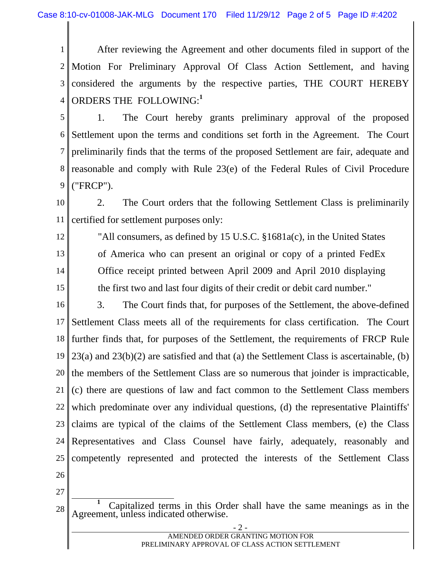1 2 3 4 After reviewing the Agreement and other documents filed in support of the Motion For Preliminary Approval Of Class Action Settlement, and having considered the arguments by the respective parties, THE COURT HEREBY ORDERS THE FOLLOWING:**<sup>1</sup>**

5 6 7 8 9 1. The Court hereby grants preliminary approval of the proposed Settlement upon the terms and conditions set forth in the Agreement. The Court preliminarily finds that the terms of the proposed Settlement are fair, adequate and reasonable and comply with Rule 23(e) of the Federal Rules of Civil Procedure ("FRCP").

10 11 2. The Court orders that the following Settlement Class is preliminarily certified for settlement purposes only:

12

13

14

15

"All consumers, as defined by 15 U.S.C. §1681a(c), in the United States of America who can present an original or copy of a printed FedEx Office receipt printed between April 2009 and April 2010 displaying the first two and last four digits of their credit or debit card number."

16 17 18 19 20 21 22 23 24 25 3. The Court finds that, for purposes of the Settlement, the above-defined Settlement Class meets all of the requirements for class certification. The Court further finds that, for purposes of the Settlement, the requirements of FRCP Rule 23(a) and 23(b)(2) are satisfied and that (a) the Settlement Class is ascertainable, (b) the members of the Settlement Class are so numerous that joinder is impracticable, (c) there are questions of law and fact common to the Settlement Class members which predominate over any individual questions, (d) the representative Plaintiffs' claims are typical of the claims of the Settlement Class members, (e) the Class Representatives and Class Counsel have fairly, adequately, reasonably and competently represented and protected the interests of the Settlement Class

- 26
- 27

<sup>28</sup>  **<sup>1</sup>** Capitalized terms in this Order shall have the same meanings as in the Agreement, unless indicated otherwise.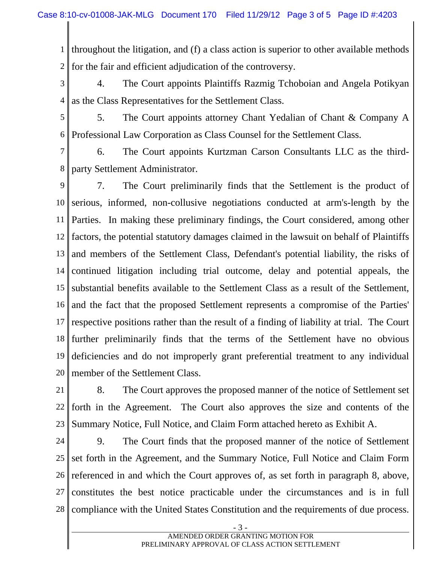1 2 throughout the litigation, and (f) a class action is superior to other available methods for the fair and efficient adjudication of the controversy.

3 4 4. The Court appoints Plaintiffs Razmig Tchoboian and Angela Potikyan as the Class Representatives for the Settlement Class.

5 6 5. The Court appoints attorney Chant Yedalian of Chant & Company A Professional Law Corporation as Class Counsel for the Settlement Class.

7 8 6. The Court appoints Kurtzman Carson Consultants LLC as the thirdparty Settlement Administrator.

9 10 11 12 13 14 15 16 17 18 19 20 7. The Court preliminarily finds that the Settlement is the product of serious, informed, non-collusive negotiations conducted at arm's-length by the Parties. In making these preliminary findings, the Court considered, among other factors, the potential statutory damages claimed in the lawsuit on behalf of Plaintiffs and members of the Settlement Class, Defendant's potential liability, the risks of continued litigation including trial outcome, delay and potential appeals, the substantial benefits available to the Settlement Class as a result of the Settlement, and the fact that the proposed Settlement represents a compromise of the Parties' respective positions rather than the result of a finding of liability at trial. The Court further preliminarily finds that the terms of the Settlement have no obvious deficiencies and do not improperly grant preferential treatment to any individual member of the Settlement Class.

21 22 23 8. The Court approves the proposed manner of the notice of Settlement set forth in the Agreement. The Court also approves the size and contents of the Summary Notice, Full Notice, and Claim Form attached hereto as Exhibit A.

24 25 26 27 28 9. The Court finds that the proposed manner of the notice of Settlement set forth in the Agreement, and the Summary Notice, Full Notice and Claim Form referenced in and which the Court approves of, as set forth in paragraph 8, above, constitutes the best notice practicable under the circumstances and is in full compliance with the United States Constitution and the requirements of due process.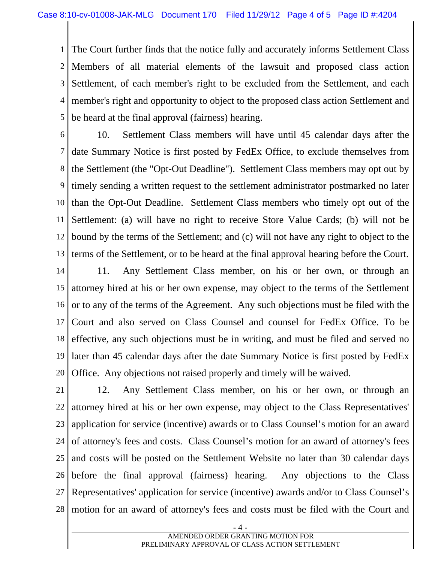1 2 3 4 5 The Court further finds that the notice fully and accurately informs Settlement Class Members of all material elements of the lawsuit and proposed class action Settlement, of each member's right to be excluded from the Settlement, and each member's right and opportunity to object to the proposed class action Settlement and be heard at the final approval (fairness) hearing.

6

7 8 9 10 11 12 13 10. Settlement Class members will have until 45 calendar days after the date Summary Notice is first posted by FedEx Office, to exclude themselves from the Settlement (the "Opt-Out Deadline"). Settlement Class members may opt out by timely sending a written request to the settlement administrator postmarked no later than the Opt-Out Deadline. Settlement Class members who timely opt out of the Settlement: (a) will have no right to receive Store Value Cards; (b) will not be bound by the terms of the Settlement; and (c) will not have any right to object to the terms of the Settlement, or to be heard at the final approval hearing before the Court.

14 15 16 17 18 19 20 11. Any Settlement Class member, on his or her own, or through an attorney hired at his or her own expense, may object to the terms of the Settlement or to any of the terms of the Agreement. Any such objections must be filed with the Court and also served on Class Counsel and counsel for FedEx Office. To be effective, any such objections must be in writing, and must be filed and served no later than 45 calendar days after the date Summary Notice is first posted by FedEx Office. Any objections not raised properly and timely will be waived.

21 22 23 24 25 26 27 28 12. Any Settlement Class member, on his or her own, or through an attorney hired at his or her own expense, may object to the Class Representatives' application for service (incentive) awards or to Class Counsel's motion for an award of attorney's fees and costs. Class Counsel's motion for an award of attorney's fees and costs will be posted on the Settlement Website no later than 30 calendar days before the final approval (fairness) hearing. Any objections to the Class Representatives' application for service (incentive) awards and/or to Class Counsel's motion for an award of attorney's fees and costs must be filed with the Court and